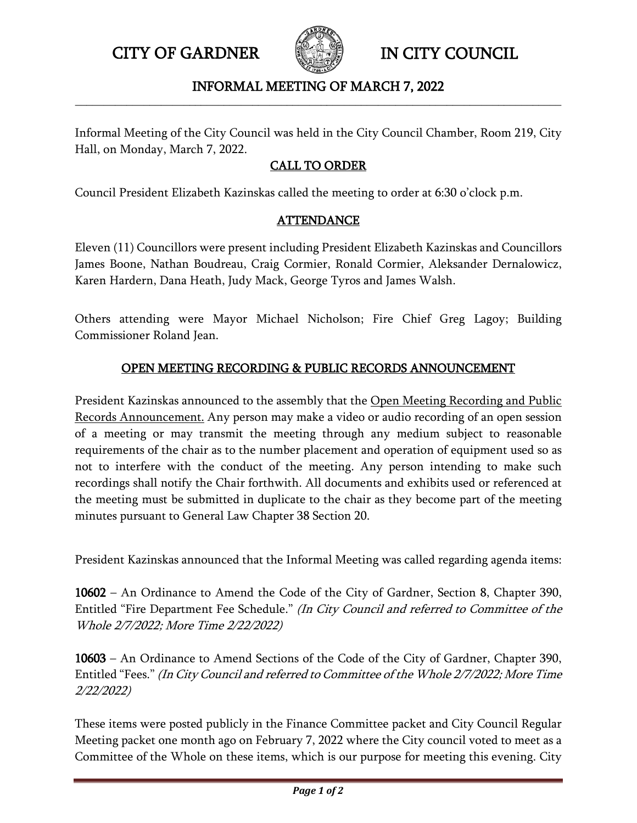CITY OF GARDNER IN CITY COUNCIL



## INFORMAL MEETING OF MARCH 7, 2022 **\_\_\_\_\_\_\_\_\_\_\_\_\_\_\_\_\_\_\_\_\_\_\_\_\_\_\_\_\_\_\_\_\_\_\_\_\_\_\_\_\_\_\_\_\_\_\_\_\_\_\_\_\_\_\_\_\_\_\_\_\_\_\_\_\_\_\_\_\_\_\_\_\_\_\_\_\_\_\_\_\_\_\_\_\_**

Informal Meeting of the City Council was held in the City Council Chamber, Room 219, City Hall, on Monday, March 7, 2022.

## CALL TO ORDER

Council President Elizabeth Kazinskas called the meeting to order at 6:30 o'clock p.m.

## **ATTENDANCE**

Eleven (11) Councillors were present including President Elizabeth Kazinskas and Councillors James Boone, Nathan Boudreau, Craig Cormier, Ronald Cormier, Aleksander Dernalowicz, Karen Hardern, Dana Heath, Judy Mack, George Tyros and James Walsh.

Others attending were Mayor Michael Nicholson; Fire Chief Greg Lagoy; Building Commissioner Roland Jean.

## OPEN MEETING RECORDING & PUBLIC RECORDS ANNOUNCEMENT

President Kazinskas announced to the assembly that the Open Meeting Recording and Public Records Announcement. Any person may make a video or audio recording of an open session of a meeting or may transmit the meeting through any medium subject to reasonable requirements of the chair as to the number placement and operation of equipment used so as not to interfere with the conduct of the meeting. Any person intending to make such recordings shall notify the Chair forthwith. All documents and exhibits used or referenced at the meeting must be submitted in duplicate to the chair as they become part of the meeting minutes pursuant to General Law Chapter 38 Section 20.

President Kazinskas announced that the Informal Meeting was called regarding agenda items:

10602 – An Ordinance to Amend the Code of the City of Gardner, Section 8, Chapter 390, Entitled "Fire Department Fee Schedule." (In City Council and referred to Committee of the Whole 2/7/2022; More Time 2/22/2022)

10603 – An Ordinance to Amend Sections of the Code of the City of Gardner, Chapter 390, Entitled "Fees." (In City Council and referred to Committee of the Whole 2/7/2022; More Time 2/22/2022)

These items were posted publicly in the Finance Committee packet and City Council Regular Meeting packet one month ago on February 7, 2022 where the City council voted to meet as a Committee of the Whole on these items, which is our purpose for meeting this evening. City